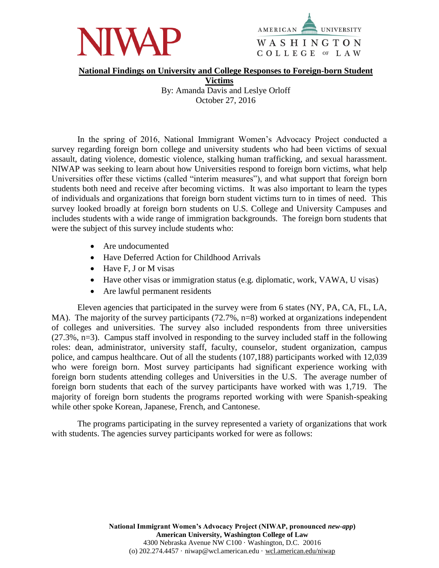



## **National Findings on University and College Responses to Foreign-born Student**

**Victims** By: Amanda Davis and Leslye Orloff October 27, 2016

In the spring of 2016, National Immigrant Women's Advocacy Project conducted a survey regarding foreign born college and university students who had been victims of sexual assault, dating violence, domestic violence, stalking human trafficking, and sexual harassment. NIWAP was seeking to learn about how Universities respond to foreign born victims, what help Universities offer these victims (called "interim measures"), and what support that foreign born students both need and receive after becoming victims. It was also important to learn the types of individuals and organizations that foreign born student victims turn to in times of need. This survey looked broadly at foreign born students on U.S. College and University Campuses and includes students with a wide range of immigration backgrounds. The foreign born students that were the subject of this survey include students who:

- Are undocumented
- Have Deferred Action for Childhood Arrivals
- Have F, J or M visas
- Have other visas or immigration status (e.g. diplomatic, work, VAWA, U visas)
- Are lawful permanent residents

Eleven agencies that participated in the survey were from 6 states (NY, PA, CA, FL, LA, MA). The majority of the survey participants (72.7%, n=8) worked at organizations independent of colleges and universities. The survey also included respondents from three universities (27.3%, n=3). Campus staff involved in responding to the survey included staff in the following roles: dean, administrator, university staff, faculty, counselor, student organization, campus police, and campus healthcare. Out of all the students (107,188) participants worked with 12,039 who were foreign born. Most survey participants had significant experience working with foreign born students attending colleges and Universities in the U.S. The average number of foreign born students that each of the survey participants have worked with was 1,719. The majority of foreign born students the programs reported working with were Spanish-speaking while other spoke Korean, Japanese, French, and Cantonese.

The programs participating in the survey represented a variety of organizations that work with students. The agencies survey participants worked for were as follows: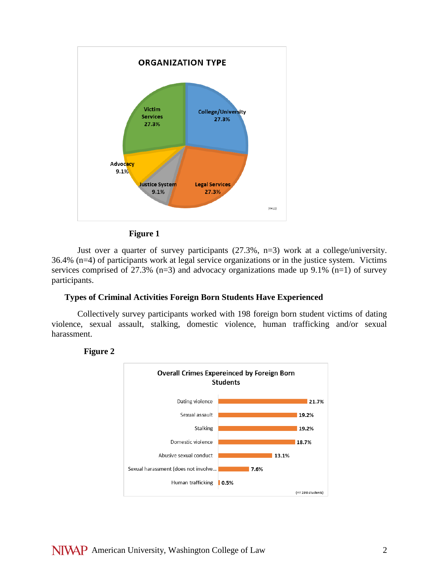

## **Figure 1**

Just over a quarter of survey participants (27.3%, n=3) work at a college/university. 36.4% (n=4) of participants work at legal service organizations or in the justice system. Victims services comprised of 27.3%  $(n=3)$  and advocacy organizations made up 9.1%  $(n=1)$  of survey participants.

## **Types of Criminal Activities Foreign Born Students Have Experienced**

Collectively survey participants worked with 198 foreign born student victims of dating violence, sexual assault, stalking, domestic violence, human trafficking and/or sexual harassment.

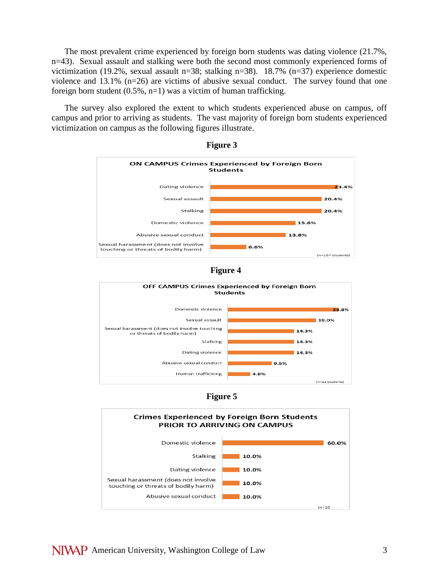The most prevalent crime experienced by foreign born students was dating violence (21.7%, n=43). Sexual assault and stalking were both the second most commonly experienced forms of victimization (19.2%, sexual assault n=38; stalking n=38). 18.7% (n=37) experience domestic violence and 13.1% (n=26) are victims of abusive sexual conduct. The survey found that one foreign born student  $(0.5\%, n=1)$  was a victim of human trafficking.

The survey also explored the extent to which students experienced abuse on campus, off campus and prior to arriving as students. The vast majority of foreign born students experienced victimization on campus as the following figures illustrate.











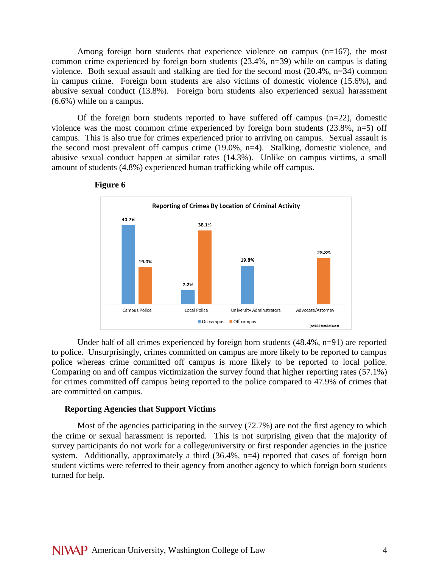Among foreign born students that experience violence on campus  $(n=167)$ , the most common crime experienced by foreign born students (23.4%, n=39) while on campus is dating violence. Both sexual assault and stalking are tied for the second most (20.4%, n=34) common in campus crime. Foreign born students are also victims of domestic violence (15.6%), and abusive sexual conduct (13.8%). Foreign born students also experienced sexual harassment (6.6%) while on a campus.

Of the foreign born students reported to have suffered off campus (n=22), domestic violence was the most common crime experienced by foreign born students (23.8%, n=5) off campus. This is also true for crimes experienced prior to arriving on campus. Sexual assault is the second most prevalent off campus crime (19.0%, n=4). Stalking, domestic violence, and abusive sexual conduct happen at similar rates (14.3%). Unlike on campus victims, a small amount of students (4.8%) experienced human trafficking while off campus.





Under half of all crimes experienced by foreign born students (48.4%, n=91) are reported to police. Unsurprisingly, crimes committed on campus are more likely to be reported to campus police whereas crime committed off campus is more likely to be reported to local police. Comparing on and off campus victimization the survey found that higher reporting rates (57.1%) for crimes committed off campus being reported to the police compared to 47.9% of crimes that are committed on campus.

#### **Reporting Agencies that Support Victims**

Most of the agencies participating in the survey (72.7%) are not the first agency to which the crime or sexual harassment is reported. This is not surprising given that the majority of survey participants do not work for a college/university or first responder agencies in the justice system. Additionally, approximately a third (36.4%, n=4) reported that cases of foreign born student victims were referred to their agency from another agency to which foreign born students turned for help.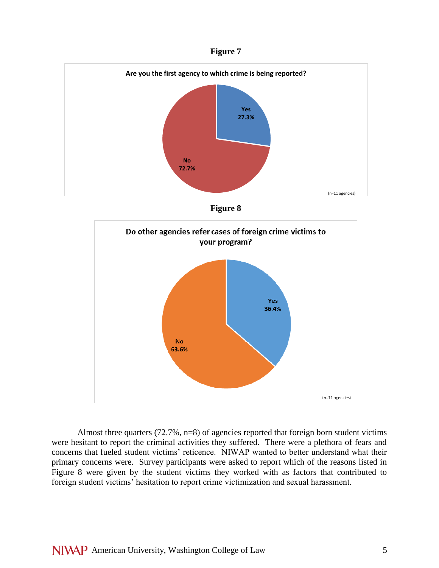





Almost three quarters (72.7%, n=8) of agencies reported that foreign born student victims were hesitant to report the criminal activities they suffered. There were a plethora of fears and concerns that fueled student victims' reticence. NIWAP wanted to better understand what their primary concerns were. Survey participants were asked to report which of the reasons listed in Figure 8 were given by the student victims they worked with as factors that contributed to foreign student victims' hesitation to report crime victimization and sexual harassment.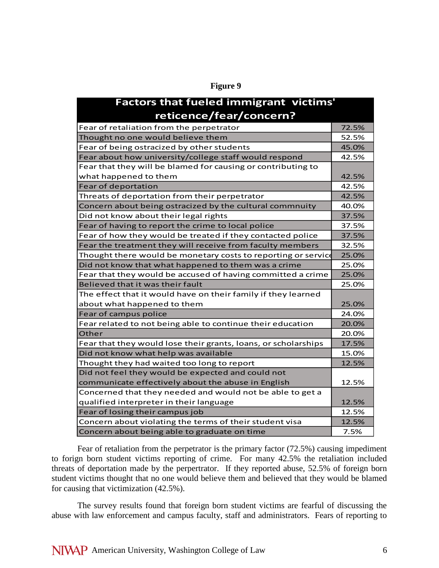| <b>Factors that fueled immigrant victims'</b>                  |       |
|----------------------------------------------------------------|-------|
|                                                                |       |
| reticence/fear/concern?                                        |       |
| Fear of retaliation from the perpetrator                       | 72.5% |
| Thought no one would believe them                              | 52.5% |
| Fear of being ostracized by other students                     | 45.0% |
| Fear about how university/college staff would respond          | 42.5% |
| Fear that they will be blamed for causing or contributing to   |       |
| what happened to them                                          | 42.5% |
| Fear of deportation                                            | 42.5% |
| Threats of deportation from their perpetrator                  | 42.5% |
| Concern about being ostracized by the cultural commnuity       | 40.0% |
| Did not know about their legal rights                          | 37.5% |
| Fear of having to report the crime to local police             | 37.5% |
| Fear of how they would be treated if they contacted police     | 37.5% |
| Fear the treatment they will receive from faculty members      | 32.5% |
| Thought there would be monetary costs to reporting or service  | 25.0% |
| Did not know that what happened to them was a crime            | 25.0% |
| Fear that they would be accused of having committed a crime    | 25.0% |
| Believed that it was their fault                               | 25.0% |
| The effect that it would have on their family if they learned  |       |
| about what happened to them                                    | 25.0% |
| Fear of campus police                                          | 24.0% |
| Fear related to not being able to continue their education     | 20.0% |
| Other                                                          | 20.0% |
| Fear that they would lose their grants, loans, or scholarships | 17.5% |
| Did not know what help was available                           | 15.0% |
| Thought they had waited too long to report                     | 12.5% |
| Did not feel they would be expected and could not              |       |
| communicate effectively about the abuse in English             | 12.5% |
| Concerned that they needed and would not be able to get a      |       |
| qualified interpreter in their language                        | 12.5% |
| Fear of losing their campus job                                | 12.5% |
| Concern about violating the terms of their student visa        | 12.5% |
| Concern about being able to graduate on time                   | 7.5%  |

**Figure 9**

Fear of retaliation from the perpetrator is the primary factor (72.5%) causing impediment to forign born student victims reporting of crime. For many 42.5% the retaliation included threats of deportation made by the perpertrator. If they reported abuse, 52.5% of foreign born student victims thought that no one would believe them and believed that they would be blamed for causing that victimization (42.5%).

The survey results found that foreign born student victims are fearful of discussing the abuse with law enforcement and campus faculty, staff and administrators. Fears of reporting to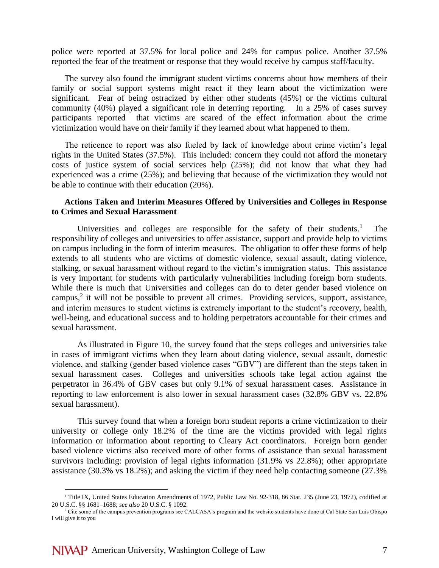police were reported at 37.5% for local police and 24% for campus police. Another 37.5% reported the fear of the treatment or response that they would receive by campus staff/faculty.

The survey also found the immigrant student victims concerns about how members of their family or social support systems might react if they learn about the victimization were significant. Fear of being ostracized by either other students (45%) or the victims cultural community (40%) played a significant role in deterring reporting. In a 25% of cases survey participants reported that victims are scared of the effect information about the crime victimization would have on their family if they learned about what happened to them.

The reticence to report was also fueled by lack of knowledge about crime victim's legal rights in the United States (37.5%). This included: concern they could not afford the monetary costs of justice system of social services help (25%); did not know that what they had experienced was a crime (25%); and believing that because of the victimization they would not be able to continue with their education (20%).

## **Actions Taken and Interim Measures Offered by Universities and Colleges in Response to Crimes and Sexual Harassment**

Universities and colleges are responsible for the safety of their students.<sup>1</sup> The responsibility of colleges and universities to offer assistance, support and provide help to victims on campus including in the form of interim measures. The obligation to offer these forms of help extends to all students who are victims of domestic violence, sexual assault, dating violence, stalking, or sexual harassment without regard to the victim's immigration status. This assistance is very important for students with particularly vulnerabilities including foreign born students. While there is much that Universities and colleges can do to deter gender based violence on campus,<sup>2</sup> it will not be possible to prevent all crimes. Providing services, support, assistance, and interim measures to student victims is extremely important to the student's recovery, health, well-being, and educational success and to holding perpetrators accountable for their crimes and sexual harassment.

As illustrated in Figure 10, the survey found that the steps colleges and universities take in cases of immigrant victims when they learn about dating violence, sexual assault, domestic violence, and stalking (gender based violence cases "GBV") are different than the steps taken in sexual harassment cases. Colleges and universities schools take legal action against the perpetrator in 36.4% of GBV cases but only 9.1% of sexual harassment cases. Assistance in reporting to law enforcement is also lower in sexual harassment cases (32.8% GBV vs. 22.8% sexual harassment).

This survey found that when a foreign born student reports a crime victimization to their university or college only 18.2% of the time are the victims provided with legal rights information or information about reporting to Cleary Act coordinators. Foreign born gender based violence victims also received more of other forms of assistance than sexual harassment survivors including: provision of legal rights information (31.9% vs 22.8%); other appropriate assistance (30.3% vs 18.2%); and asking the victim if they need help contacting someone (27.3%

 $\overline{a}$ 

<sup>&</sup>lt;sup>1</sup> Title IX, United States Education Amendments of 1972, Public Law No. 92-318, 86 Stat. 235 (June 23, 1972), codified at 20 U.S.C. §§ 1681–1688; *see also* 20 U.S.C. § 1092.

<sup>&</sup>lt;sup>2</sup> Cite some of the campus prevention programs see CALCASA's program and the website students have done at Cal State San Luis Obispo I will give it to you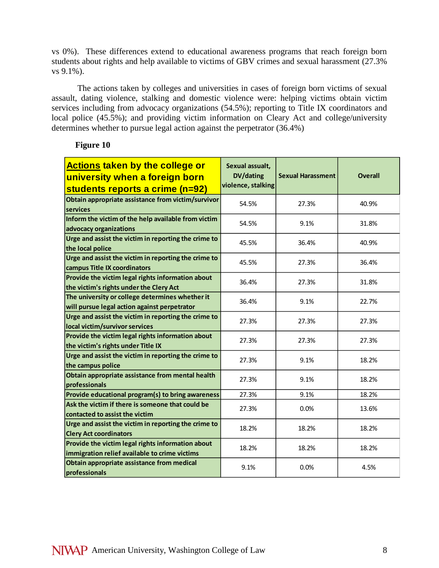vs 0%). These differences extend to educational awareness programs that reach foreign born students about rights and help available to victims of GBV crimes and sexual harassment (27.3% vs 9.1%).

The actions taken by colleges and universities in cases of foreign born victims of sexual assault, dating violence, stalking and domestic violence were: helping victims obtain victim services including from advocacy organizations (54.5%); reporting to Title IX coordinators and local police (45.5%); and providing victim information on Cleary Act and college/university determines whether to pursue legal action against the perpetrator (36.4%)

| <b>Actions taken by the college or</b><br>university when a foreign born<br>students reports a crime (n=92) | Sexual assualt,<br><b>DV/dating</b><br>violence, stalking | <b>Sexual Harassment</b> | <b>Overall</b> |
|-------------------------------------------------------------------------------------------------------------|-----------------------------------------------------------|--------------------------|----------------|
| Obtain appropriate assistance from victim/survivor<br>services                                              | 54.5%                                                     | 27.3%                    | 40.9%          |
| Inform the victim of the help available from victim<br>advocacy organizations                               | 54.5%                                                     | 9.1%                     | 31.8%          |
| Urge and assist the victim in reporting the crime to<br>the local police                                    | 45.5%                                                     | 36.4%                    | 40.9%          |
| Urge and assist the victim in reporting the crime to<br>campus Title IX coordinators                        | 45.5%                                                     | 27.3%                    | 36.4%          |
| Provide the victim legal rights information about<br>the victim's rights under the Clery Act                | 36.4%                                                     | 27.3%                    | 31.8%          |
| The university or college determines whether it<br>will pursue legal action against perpetrator             | 36.4%                                                     | 9.1%                     | 22.7%          |
| Urge and assist the victim in reporting the crime to<br>local victim/survivor services                      | 27.3%                                                     | 27.3%                    | 27.3%          |
| Provide the victim legal rights information about<br>the victim's rights under Title IX                     | 27.3%                                                     | 27.3%                    | 27.3%          |
| Urge and assist the victim in reporting the crime to<br>the campus police                                   | 27.3%                                                     | 9.1%                     | 18.2%          |
| Obtain appropriate assistance from mental health<br>professionals                                           | 27.3%                                                     | 9.1%                     | 18.2%          |
| Provide educational program(s) to bring awareness                                                           | 27.3%                                                     | 9.1%                     | 18.2%          |
| Ask the victim if there is someone that could be<br>contacted to assist the victim                          | 27.3%                                                     | 0.0%                     | 13.6%          |
| Urge and assist the victim in reporting the crime to<br><b>Clery Act coordinators</b>                       | 18.2%                                                     | 18.2%                    | 18.2%          |
| Provide the victim legal rights information about<br>immigration relief available to crime victims          | 18.2%                                                     | 18.2%                    | 18.2%          |
| Obtain appropriate assistance from medical<br>professionals                                                 | 9.1%                                                      | 0.0%                     | 4.5%           |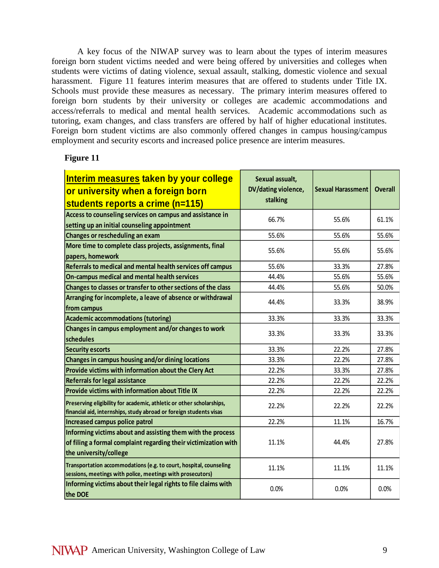A key focus of the NIWAP survey was to learn about the types of interim measures foreign born student victims needed and were being offered by universities and colleges when students were victims of dating violence, sexual assault, stalking, domestic violence and sexual harassment. Figure 11 features interim measures that are offered to students under Title IX. Schools must provide these measures as necessary. The primary interim measures offered to foreign born students by their university or colleges are academic accommodations and access/referrals to medical and mental health services. Academic accommodations such as tutoring, exam changes, and class transfers are offered by half of higher educational institutes. Foreign born student victims are also commonly offered changes in campus housing/campus employment and security escorts and increased police presence are interim measures.

| Interim measures taken by your college<br>or university when a foreign born                                                                              | Sexual assualt,<br>DV/dating violence, | <b>Sexual Harassment</b> | <b>Overall</b> |
|----------------------------------------------------------------------------------------------------------------------------------------------------------|----------------------------------------|--------------------------|----------------|
|                                                                                                                                                          | stalking                               |                          |                |
| students reports a crime (n=115)                                                                                                                         |                                        |                          |                |
| Access to counseling services on campus and assistance in<br>setting up an initial counseling appointment                                                | 66.7%                                  | 55.6%                    | 61.1%          |
| Changes or rescheduling an exam                                                                                                                          | 55.6%                                  | 55.6%                    | 55.6%          |
| More time to complete class projects, assignments, final                                                                                                 |                                        |                          |                |
| papers, homework                                                                                                                                         | 55.6%                                  | 55.6%                    | 55.6%          |
| Referrals to medical and mental health services off campus                                                                                               | 55.6%                                  | 33.3%                    | 27.8%          |
| On-campus medical and mental health services                                                                                                             | 44.4%                                  | 55.6%                    | 55.6%          |
| Changes to classes or transfer to other sections of the class                                                                                            | 44.4%                                  | 55.6%                    | 50.0%          |
| Arranging for incomplete, a leave of absence or withdrawal<br>from campus                                                                                | 44.4%                                  | 33.3%                    | 38.9%          |
| <b>Academic accommodations (tutoring)</b>                                                                                                                | 33.3%                                  | 33.3%                    | 33.3%          |
| Changes in campus employment and/or changes to work<br>schedules                                                                                         | 33.3%                                  | 33.3%                    | 33.3%          |
| <b>Security escorts</b>                                                                                                                                  | 33.3%                                  | 22.2%                    | 27.8%          |
| Changes in campus housing and/or dining locations                                                                                                        | 33.3%                                  | 22.2%                    | 27.8%          |
| Provide victims with information about the Clery Act                                                                                                     | 22.2%                                  | 33.3%                    | 27.8%          |
| <b>Referrals for legal assistance</b>                                                                                                                    | 22.2%                                  | 22.2%                    | 22.2%          |
| Provide victims with information about Title IX                                                                                                          | 22.2%                                  | 22.2%                    | 22.2%          |
| Preserving eligibility for academic, athletic or other scholarships,<br>financial aid, internships, study abroad or foreign students visas               | 22.2%                                  | 22.2%                    | 22.2%          |
| <b>Increased campus police patrol</b>                                                                                                                    | 22.2%                                  | 11.1%                    | 16.7%          |
| Informing victims about and assisting them with the process<br>of filing a formal complaint regarding their victimization with<br>the university/college | 11.1%                                  | 44.4%                    | 27.8%          |
| Transportation accommodations (e.g. to court, hospital, counseling<br>sessions, meetings with police, meetings with prosecutors)                         | 11.1%                                  | 11.1%                    | 11.1%          |
| Informing victims about their legal rights to file claims with<br>the DOE                                                                                | 0.0%                                   | 0.0%                     | 0.0%           |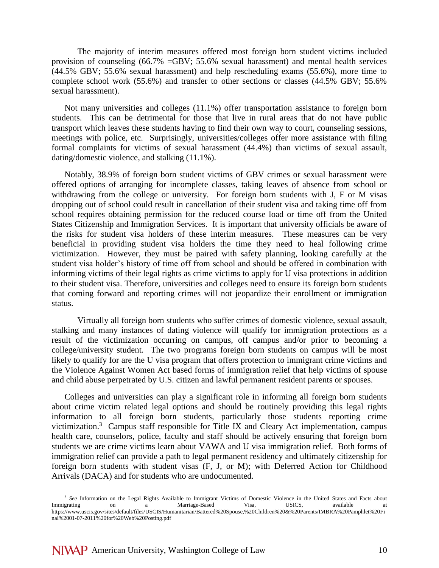The majority of interim measures offered most foreign born student victims included provision of counseling (66.7% =GBV; 55.6% sexual harassment) and mental health services (44.5% GBV; 55.6% sexual harassment) and help rescheduling exams (55.6%), more time to complete school work (55.6%) and transfer to other sections or classes (44.5% GBV; 55.6% sexual harassment).

Not many universities and colleges (11.1%) offer transportation assistance to foreign born students. This can be detrimental for those that live in rural areas that do not have public transport which leaves these students having to find their own way to court, counseling sessions, meetings with police, etc. Surprisingly, universities/colleges offer more assistance with filing formal complaints for victims of sexual harassment (44.4%) than victims of sexual assault, dating/domestic violence, and stalking (11.1%).

Notably, 38.9% of foreign born student victims of GBV crimes or sexual harassment were offered options of arranging for incomplete classes, taking leaves of absence from school or withdrawing from the college or university. For foreign born students with J, F or M visas dropping out of school could result in cancellation of their student visa and taking time off from school requires obtaining permission for the reduced course load or time off from the United States Citizenship and Immigration Services. It is important that university officials be aware of the risks for student visa holders of these interim measures. These measures can be very beneficial in providing student visa holders the time they need to heal following crime victimization. However, they must be paired with safety planning, looking carefully at the student visa holder's history of time off from school and should be offered in combination with informing victims of their legal rights as crime victims to apply for U visa protections in addition to their student visa. Therefore, universities and colleges need to ensure its foreign born students that coming forward and reporting crimes will not jeopardize their enrollment or immigration status.

Virtually all foreign born students who suffer crimes of domestic violence, sexual assault, stalking and many instances of dating violence will qualify for immigration protections as a result of the victimization occurring on campus, off campus and/or prior to becoming a college/university student. The two programs foreign born students on campus will be most likely to qualify for are the U visa program that offers protection to immigrant crime victims and the Violence Against Women Act based forms of immigration relief that help victims of spouse and child abuse perpetrated by U.S. citizen and lawful permanent resident parents or spouses.

Colleges and universities can play a significant role in informing all foreign born students about crime victim related legal options and should be routinely providing this legal rights information to all foreign born students, particularly those students reporting crime victimization.<sup>3</sup> Campus staff responsible for Title IX and Cleary Act implementation, campus health care, counselors, police, faculty and staff should be actively ensuring that foreign born students we are crime victims learn about VAWA and U visa immigration relief. Both forms of immigration relief can provide a path to legal permanent residency and ultimately citizenship for foreign born students with student visas (F, J, or M); with Deferred Action for Childhood Arrivals (DACA) and for students who are undocumented.

 $\overline{a}$ 

<sup>&</sup>lt;sup>3</sup> *See* Information on the Legal Rights Available to Immigrant Victims of Domestic Violence in the United States and Facts about Immigrating on a Marriage-Based Visa, USICS, available at Immigrating on a Marriage-Based Visa, USICS, available at https://www.uscis.gov/sites/default/files/USCIS/Humanitarian/Battered%20Spouse,%20Children%20&%20Parents/IMBRA%20Pamphlet%20Fi nal%2001-07-2011%20for%20Web%20Posting.pdf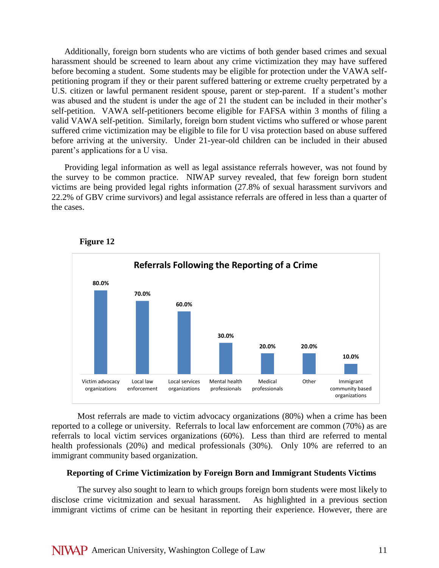Additionally, foreign born students who are victims of both gender based crimes and sexual harassment should be screened to learn about any crime victimization they may have suffered before becoming a student. Some students may be eligible for protection under the VAWA selfpetitioning program if they or their parent suffered battering or extreme cruelty perpetrated by a U.S. citizen or lawful permanent resident spouse, parent or step-parent. If a student's mother was abused and the student is under the age of 21 the student can be included in their mother's self-petition. VAWA self-petitioners become eligible for FAFSA within 3 months of filing a valid VAWA self-petition. Similarly, foreign born student victims who suffered or whose parent suffered crime victimization may be eligible to file for U visa protection based on abuse suffered before arriving at the university. Under 21-year-old children can be included in their abused parent's applications for a U visa.

Providing legal information as well as legal assistance referrals however, was not found by the survey to be common practice. NIWAP survey revealed, that few foreign born student victims are being provided legal rights information (27.8% of sexual harassment survivors and 22.2% of GBV crime survivors) and legal assistance referrals are offered in less than a quarter of the cases.



#### **Figure 12**

Most referrals are made to victim advocacy organizations (80%) when a crime has been reported to a college or university. Referrals to local law enforcement are common (70%) as are referrals to local victim services organizations (60%). Less than third are referred to mental health professionals (20%) and medical professionals (30%). Only 10% are referred to an immigrant community based organization.

#### **Reporting of Crime Victimization by Foreign Born and Immigrant Students Victims**

The survey also sought to learn to which groups foreign born students were most likely to disclose crime vicitmization and sexual harassment.As highlighted in a previous section immigrant victims of crime can be hesitant in reporting their experience. However, there are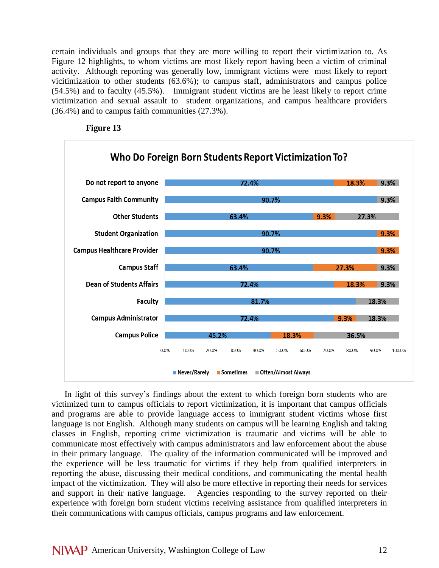certain individuals and groups that they are more willing to report their victimization to. As Figure 12 highlights, to whom victims are most likely report having been a victim of criminal activity. Although reporting was generally low, immigrant victims were most likely to report vicitimization to other students (63.6%); to campus staff, administrators and campus police (54.5%) and to faculty (45.5%). Immigrant student victims are he least likely to report crime victimization and sexual assault to student organizations, and campus healthcare providers (36.4%) and to campus faith communities (27.3%).





In light of this survey's findings about the extent to which foreign born students who are victimized turn to campus officials to report victimization, it is important that campus officials and programs are able to provide language access to immigrant student victims whose first language is not English. Although many students on campus will be learning English and taking classes in English, reporting crime victimization is traumatic and victims will be able to communicate most effectively with campus administrators and law enforcement about the abuse in their primary language. The quality of the information communicated will be improved and the experience will be less traumatic for victims if they help from qualified interpreters in reporting the abuse, discussing their medical conditions, and communicating the mental health impact of the victimization. They will also be more effective in reporting their needs for services and support in their native language. Agencies responding to the survey reported on their experience with foreign born student victims receiving assistance from qualified interpreters in their communications with campus officials, campus programs and law enforcement.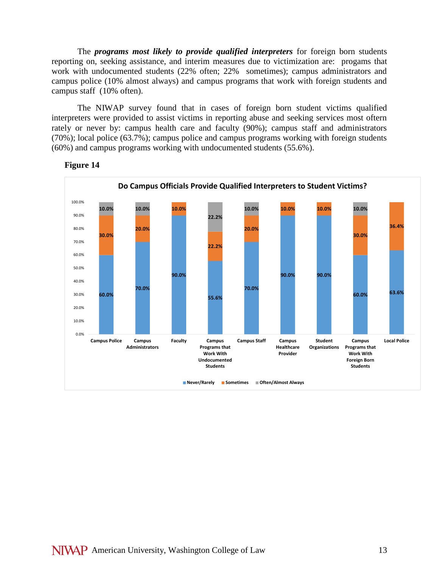The *programs most likely to provide qualified interpreters* for foreign born students reporting on, seeking assistance, and interim measures due to victimization are: progams that work with undocumented students (22% often; 22% sometimes); campus administrators and campus police (10% almost always) and campus programs that work with foreign students and campus staff (10% often).

The NIWAP survey found that in cases of foreign born student victims qualified interpreters were provided to assist victims in reporting abuse and seeking services most oftern rately or never by: campus health care and faculty (90%); campus staff and administrators (70%); local police (63.7%); campus police and campus programs working with foreign students (60%) and campus programs working with undocumented students (55.6%).

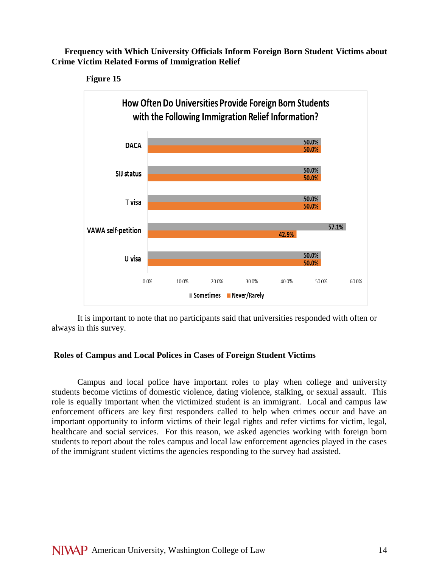**Frequency with Which University Officials Inform Foreign Born Student Victims about Crime Victim Related Forms of Immigration Relief**





It is important to note that no participants said that universities responded with often or always in this survey.

# **Roles of Campus and Local Polices in Cases of Foreign Student Victims**

Campus and local police have important roles to play when college and university students become victims of domestic violence, dating violence, stalking, or sexual assault. This role is equally important when the victimized student is an immigrant. Local and campus law enforcement officers are key first responders called to help when crimes occur and have an important opportunity to inform victims of their legal rights and refer victims for victim, legal, healthcare and social services. For this reason, we asked agencies working with foreign born students to report about the roles campus and local law enforcement agencies played in the cases of the immigrant student victims the agencies responding to the survey had assisted.